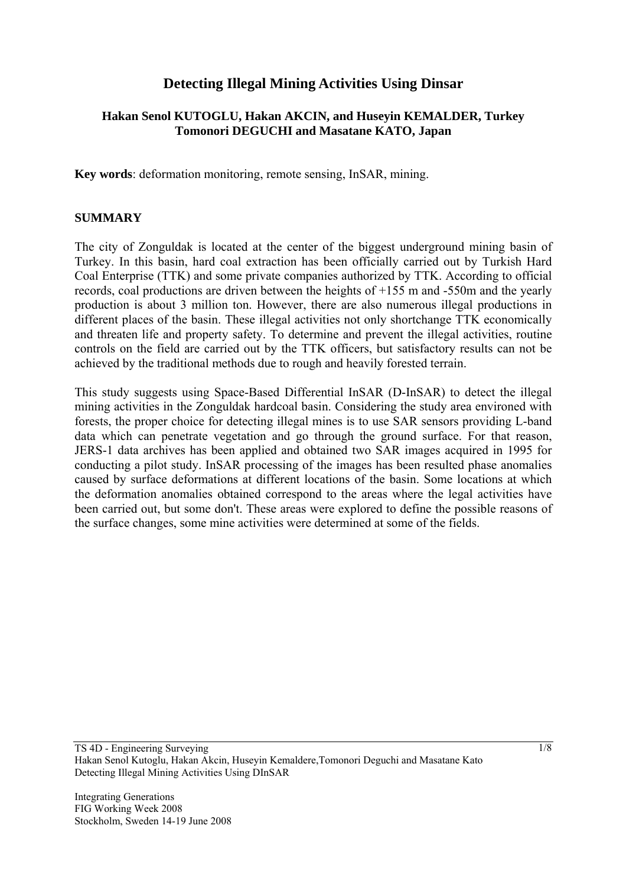# **Detecting Illegal Mining Activities Using Dinsar**

### **Hakan Senol KUTOGLU, Hakan AKCIN, and Huseyin KEMALDER, Turkey Tomonori DEGUCHI and Masatane KATO, Japan**

**Key words**: deformation monitoring, remote sensing, InSAR, mining.

#### **SUMMARY**

The city of Zonguldak is located at the center of the biggest underground mining basin of Turkey. In this basin, hard coal extraction has been officially carried out by Turkish Hard Coal Enterprise (TTK) and some private companies authorized by TTK. According to official records, coal productions are driven between the heights of +155 m and -550m and the yearly production is about 3 million ton. However, there are also numerous illegal productions in different places of the basin. These illegal activities not only shortchange TTK economically and threaten life and property safety. To determine and prevent the illegal activities, routine controls on the field are carried out by the TTK officers, but satisfactory results can not be achieved by the traditional methods due to rough and heavily forested terrain.

This study suggests using Space-Based Differential InSAR (D-InSAR) to detect the illegal mining activities in the Zonguldak hardcoal basin. Considering the study area environed with forests, the proper choice for detecting illegal mines is to use SAR sensors providing L-band data which can penetrate vegetation and go through the ground surface. For that reason, JERS-1 data archives has been applied and obtained two SAR images acquired in 1995 for conducting a pilot study. InSAR processing of the images has been resulted phase anomalies caused by surface deformations at different locations of the basin. Some locations at which the deformation anomalies obtained correspond to the areas where the legal activities have been carried out, but some don't. These areas were explored to define the possible reasons of the surface changes, some mine activities were determined at some of the fields.

TS 4D - Engineering Surveying Hakan Senol Kutoglu, Hakan Akcin, Huseyin Kemaldere,Tomonori Deguchi and Masatane Kato Detecting Illegal Mining Activities Using DInSAR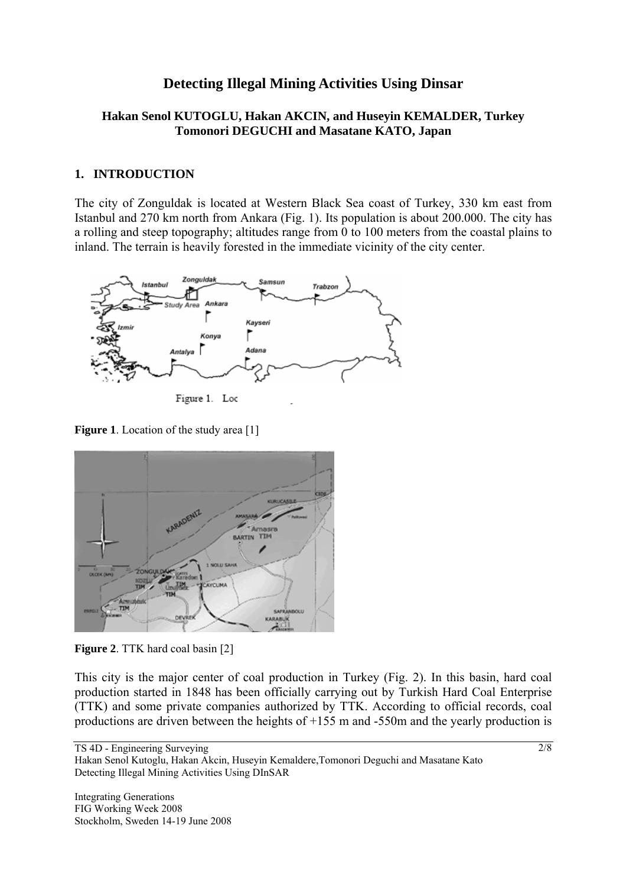# **Detecting Illegal Mining Activities Using Dinsar**

### **Hakan Senol KUTOGLU, Hakan AKCIN, and Huseyin KEMALDER, Turkey Tomonori DEGUCHI and Masatane KATO, Japan**

#### **1. INTRODUCTION**

The city of Zonguldak is located at Western Black Sea coast of Turkey, 330 km east from Istanbul and 270 km north from Ankara (Fig. 1). Its population is about 200.000. The city has a rolling and steep topography; altitudes range from 0 to 100 meters from the coastal plains to inland. The terrain is heavily forested in the immediate vicinity of the city center.



Figure 1. Loc

**Figure 1**. Location of the study area [1]



**Figure 2**. TTK hard coal basin [2]

This city is the major center of coal production in Turkey (Fig. 2). In this basin, hard coal production started in 1848 has been officially carrying out by Turkish Hard Coal Enterprise (TTK) and some private companies authorized by TTK. According to official records, coal productions are driven between the heights of +155 m and -550m and the yearly production is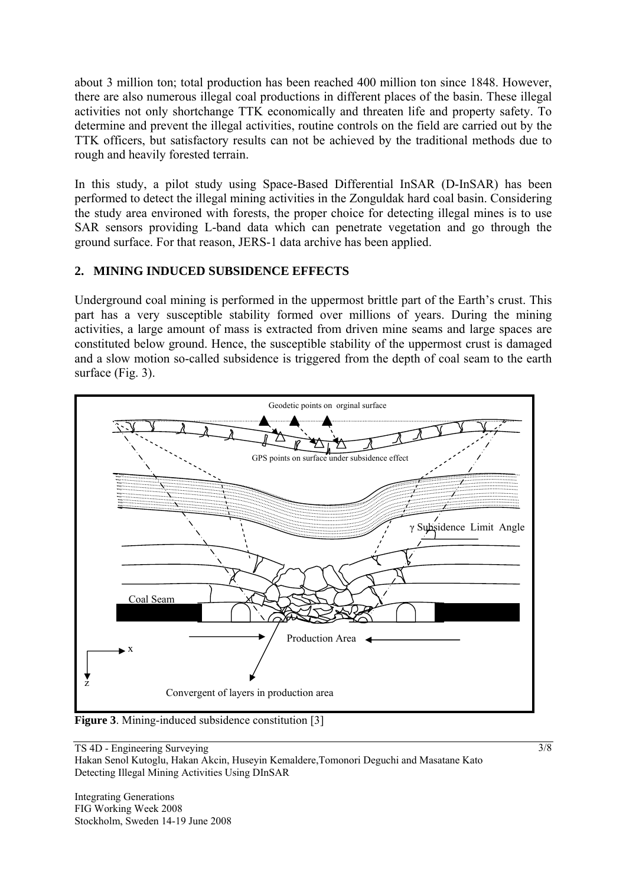about 3 million ton; total production has been reached 400 million ton since 1848. However, there are also numerous illegal coal productions in different places of the basin. These illegal activities not only shortchange TTK economically and threaten life and property safety. To determine and prevent the illegal activities, routine controls on the field are carried out by the TTK officers, but satisfactory results can not be achieved by the traditional methods due to rough and heavily forested terrain.

In this study, a pilot study using Space-Based Differential InSAR (D-InSAR) has been performed to detect the illegal mining activities in the Zonguldak hard coal basin. Considering the study area environed with forests, the proper choice for detecting illegal mines is to use SAR sensors providing L-band data which can penetrate vegetation and go through the ground surface. For that reason, JERS-1 data archive has been applied.

### **2. MINING INDUCED SUBSIDENCE EFFECTS**

Underground coal mining is performed in the uppermost brittle part of the Earth's crust. This part has a very susceptible stability formed over millions of years. During the mining activities, a large amount of mass is extracted from driven mine seams and large spaces are constituted below ground. Hence, the susceptible stability of the uppermost crust is damaged and a slow motion so-called subsidence is triggered from the depth of coal seam to the earth surface (Fig. 3).



**Figure 3**. Mining-induced subsidence constitution [3]

TS 4D - Engineering Surveying

Hakan Senol Kutoglu, Hakan Akcin, Huseyin Kemaldere,Tomonori Deguchi and Masatane Kato Detecting Illegal Mining Activities Using DInSAR

Integrating Generations FIG Working Week 2008 Stockholm, Sweden 14-19 June 2008 3/8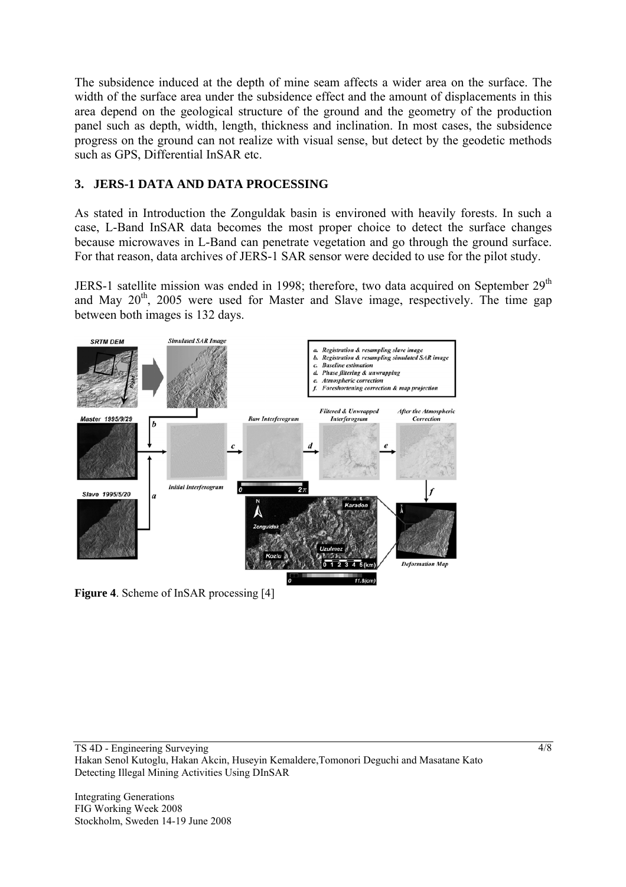The subsidence induced at the depth of mine seam affects a wider area on the surface. The width of the surface area under the subsidence effect and the amount of displacements in this area depend on the geological structure of the ground and the geometry of the production panel such as depth, width, length, thickness and inclination. In most cases, the subsidence progress on the ground can not realize with visual sense, but detect by the geodetic methods such as GPS, Differential InSAR etc.

## **3. JERS-1 DATA AND DATA PROCESSING**

As stated in Introduction the Zonguldak basin is environed with heavily forests. In such a case, L-Band InSAR data becomes the most proper choice to detect the surface changes because microwaves in L-Band can penetrate vegetation and go through the ground surface. For that reason, data archives of JERS-1 SAR sensor were decided to use for the pilot study.

JERS-1 satellite mission was ended in 1998; therefore, two data acquired on September  $29<sup>th</sup>$ and May  $20<sup>th</sup>$ , 2005 were used for Master and Slave image, respectively. The time gap between both images is 132 days.



**Figure 4**. Scheme of InSAR processing [4]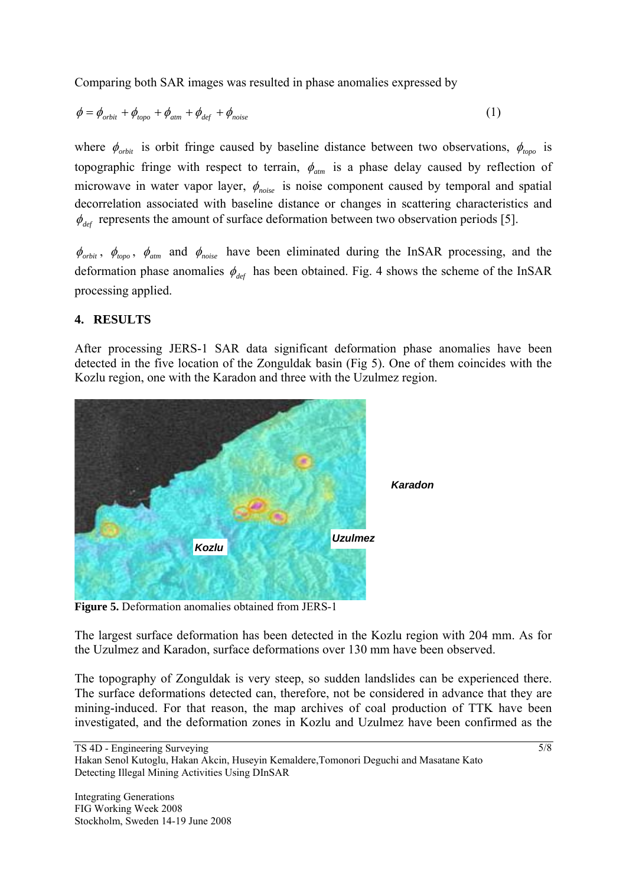Comparing both SAR images was resulted in phase anomalies expressed by

$$
\phi = \phi_{orbit} + \phi_{topo} + \phi_{atm} + \phi_{def} + \phi_{noise}
$$
\n(1)

where  $\phi_{orbit}$  is orbit fringe caused by baseline distance between two observations,  $\phi_{topo}$  is topographic fringe with respect to terrain,  $\phi_{\text{atm}}$  is a phase delay caused by reflection of microwave in water vapor layer,  $\phi_{noise}$  is noise component caused by temporal and spatial decorrelation associated with baseline distance or changes in scattering characteristics and  $\phi_{\text{def}}$  represents the amount of surface deformation between two observation periods [5].

 $\phi_{orbit}$ ,  $\phi_{topo}$ ,  $\phi_{atm}$  and  $\phi_{noise}$  have been eliminated during the InSAR processing, and the deformation phase anomalies  $\phi_{\text{def}}$  has been obtained. Fig. 4 shows the scheme of the InSAR processing applied.

### **4. RESULTS**

After processing JERS-1 SAR data significant deformation phase anomalies have been detected in the five location of the Zonguldak basin (Fig 5). One of them coincides with the Kozlu region, one with the Karadon and three with the Uzulmez region.



**Figure 5.** Deformation anomalies obtained from JERS-1

The largest surface deformation has been detected in the Kozlu region with 204 mm. As for the Uzulmez and Karadon, surface deformations over 130 mm have been observed.

The topography of Zonguldak is very steep, so sudden landslides can be experienced there. The surface deformations detected can, therefore, not be considered in advance that they are mining-induced. For that reason, the map archives of coal production of TTK have been investigated, and the deformation zones in Kozlu and Uzulmez have been confirmed as the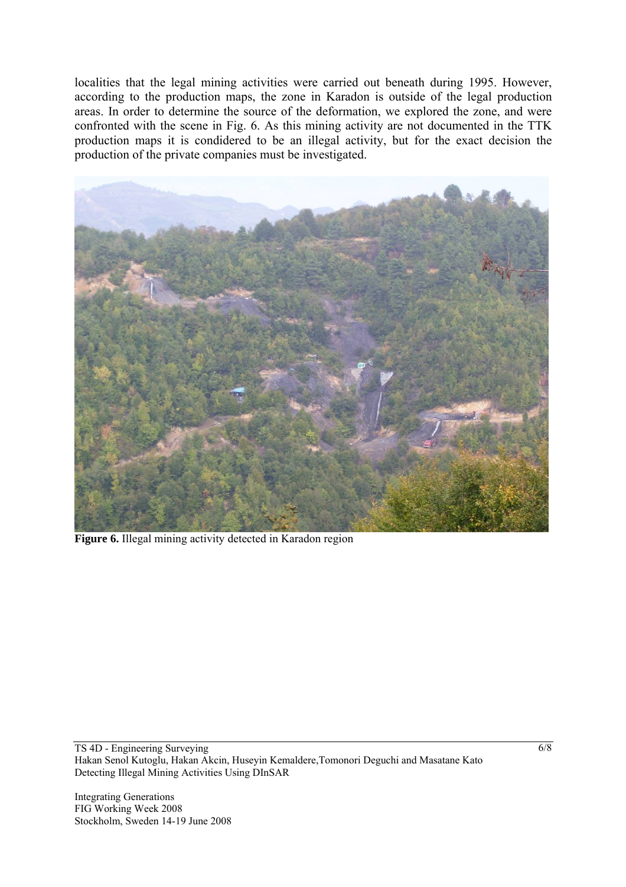localities that the legal mining activities were carried out beneath during 1995. However, according to the production maps, the zone in Karadon is outside of the legal production areas. In order to determine the source of the deformation, we explored the zone, and were confronted with the scene in Fig. 6. As this mining activity are not documented in the TTK production maps it is condidered to be an illegal activity, but for the exact decision the production of the private companies must be investigated.



**Figure 6.** Illegal mining activity detected in Karadon region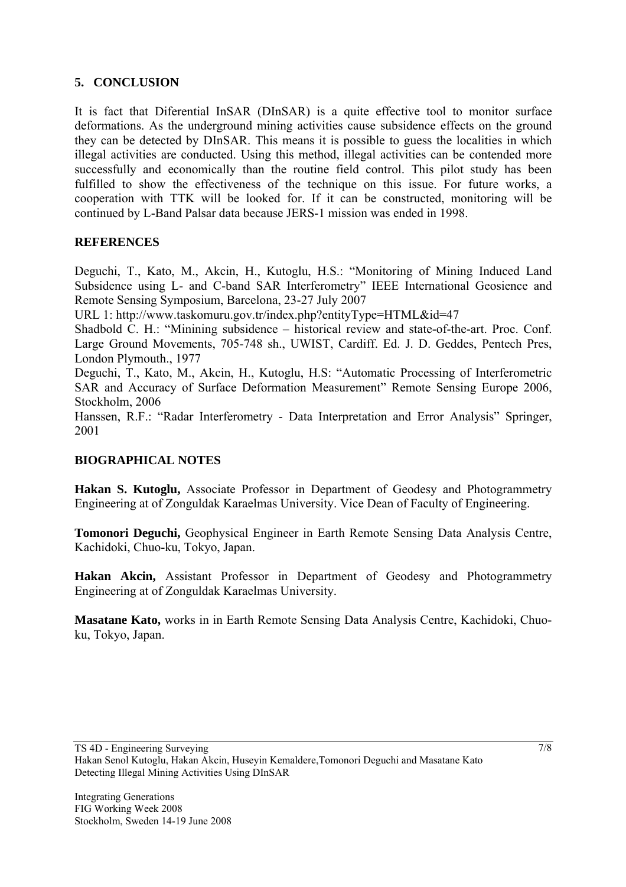### **5. CONCLUSION**

It is fact that Diferential InSAR (DInSAR) is a quite effective tool to monitor surface deformations. As the underground mining activities cause subsidence effects on the ground they can be detected by DInSAR. This means it is possible to guess the localities in which illegal activities are conducted. Using this method, illegal activities can be contended more successfully and economically than the routine field control. This pilot study has been fulfilled to show the effectiveness of the technique on this issue. For future works, a cooperation with TTK will be looked for. If it can be constructed, monitoring will be continued by L-Band Palsar data because JERS-1 mission was ended in 1998.

### **REFERENCES**

Deguchi, T., Kato, M., Akcin, H., Kutoglu, H.S.: "Monitoring of Mining Induced Land Subsidence using L- and C-band SAR Interferometry" IEEE International Geosience and Remote Sensing Symposium, Barcelona, 23-27 July 2007

URL 1: http://www.taskomuru.gov.tr/index.php?entityType=HTML&id=47

Shadbold C. H.: "Minining subsidence – historical review and state-of-the-art. Proc. Conf. Large Ground Movements, 705-748 sh., UWIST, Cardiff. Ed. J. D. Geddes, Pentech Pres, London Plymouth., 1977

Deguchi, T., Kato, M., Akcin, H., Kutoglu, H.S: "Automatic Processing of Interferometric SAR and Accuracy of Surface Deformation Measurement" Remote Sensing Europe 2006, Stockholm, 2006

Hanssen, R.F.: "Radar Interferometry - Data Interpretation and Error Analysis" Springer, 2001

## **BIOGRAPHICAL NOTES**

**Hakan S. Kutoglu,** Associate Professor in Department of Geodesy and Photogrammetry Engineering at of Zonguldak Karaelmas University. Vice Dean of Faculty of Engineering.

**Tomonori Deguchi,** Geophysical Engineer in Earth Remote Sensing Data Analysis Centre, Kachidoki, Chuo-ku, Tokyo, Japan.

**Hakan Akcin,** Assistant Professor in Department of Geodesy and Photogrammetry Engineering at of Zonguldak Karaelmas University.

**Masatane Kato,** works in in Earth Remote Sensing Data Analysis Centre, Kachidoki, Chuoku, Tokyo, Japan.